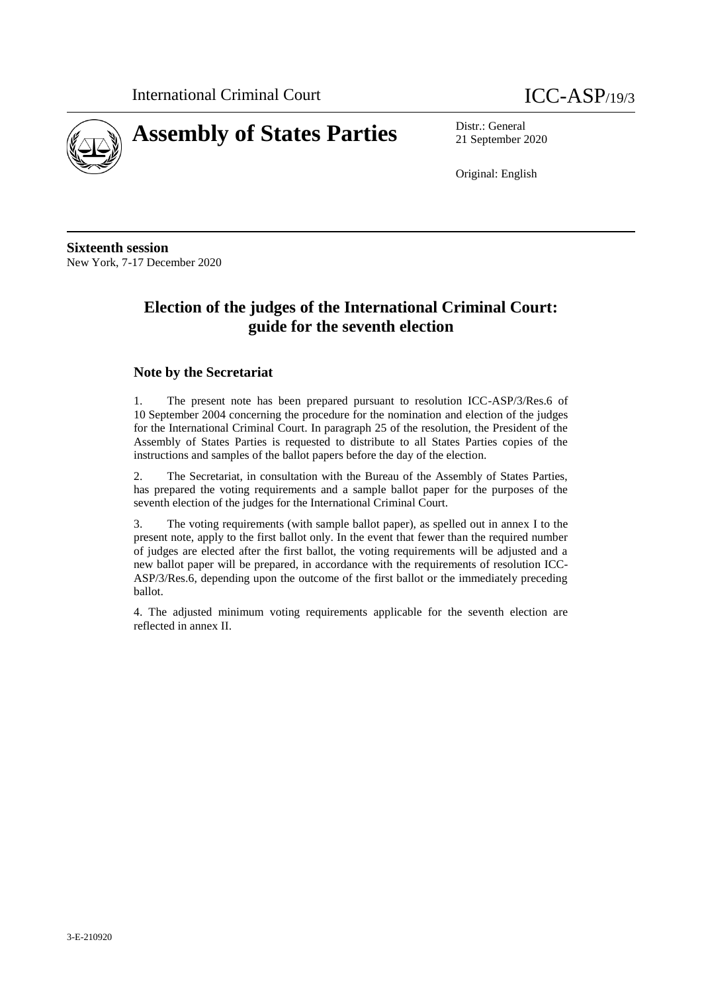

21 September 2020

Original: English

**Sixteenth session** New York, 7-17 December 2020

# **Election of the judges of the International Criminal Court: guide for the seventh election**

#### **Note by the Secretariat**

1. The present note has been prepared pursuant to resolution ICC-ASP/3/Res.6 of 10 September 2004 concerning the procedure for the nomination and election of the judges for the International Criminal Court. In paragraph 25 of the resolution, the President of the Assembly of States Parties is requested to distribute to all States Parties copies of the instructions and samples of the ballot papers before the day of the election.

2. The Secretariat, in consultation with the Bureau of the Assembly of States Parties, has prepared the voting requirements and a sample ballot paper for the purposes of the seventh election of the judges for the International Criminal Court.

3. The voting requirements (with sample ballot paper), as spelled out in annex I to the present note, apply to the first ballot only. In the event that fewer than the required number of judges are elected after the first ballot, the voting requirements will be adjusted and a new ballot paper will be prepared, in accordance with the requirements of resolution ICC-ASP/3/Res.6, depending upon the outcome of the first ballot or the immediately preceding ballot.

4. The adjusted minimum voting requirements applicable for the seventh election are reflected in annex II.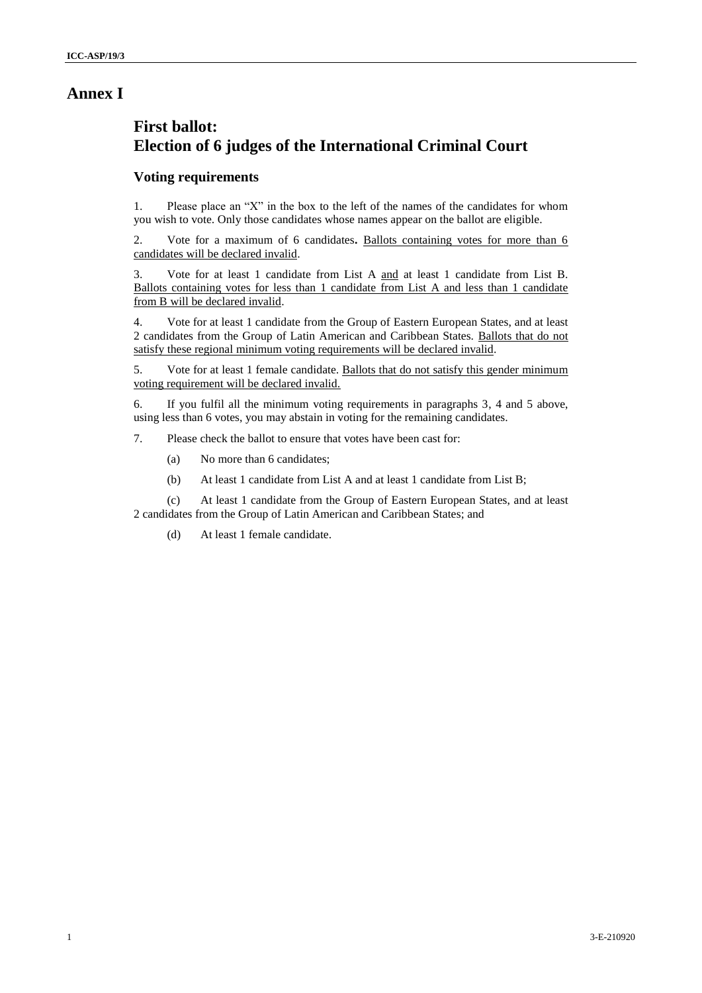# **Annex I**

# **First ballot: Election of 6 judges of the International Criminal Court**

### **Voting requirements**

1. Please place an "X" in the box to the left of the names of the candidates for whom you wish to vote. Only those candidates whose names appear on the ballot are eligible.

2. Vote for a maximum of 6 candidates**.** Ballots containing votes for more than 6 candidates will be declared invalid.

3. Vote for at least 1 candidate from List A and at least 1 candidate from List B. Ballots containing votes for less than 1 candidate from List A and less than 1 candidate from B will be declared invalid.

4. Vote for at least 1 candidate from the Group of Eastern European States, and at least 2 candidates from the Group of Latin American and Caribbean States. Ballots that do not satisfy these regional minimum voting requirements will be declared invalid.

5. Vote for at least 1 female candidate. Ballots that do not satisfy this gender minimum voting requirement will be declared invalid.

6. If you fulfil all the minimum voting requirements in paragraphs 3, 4 and 5 above, using less than 6 votes, you may abstain in voting for the remaining candidates.

7. Please check the ballot to ensure that votes have been cast for:

- (a) No more than 6 candidates;
- (b) At least 1 candidate from List A and at least 1 candidate from List B;

(c) At least 1 candidate from the Group of Eastern European States, and at least 2 candidates from the Group of Latin American and Caribbean States; and

(d) At least 1 female candidate.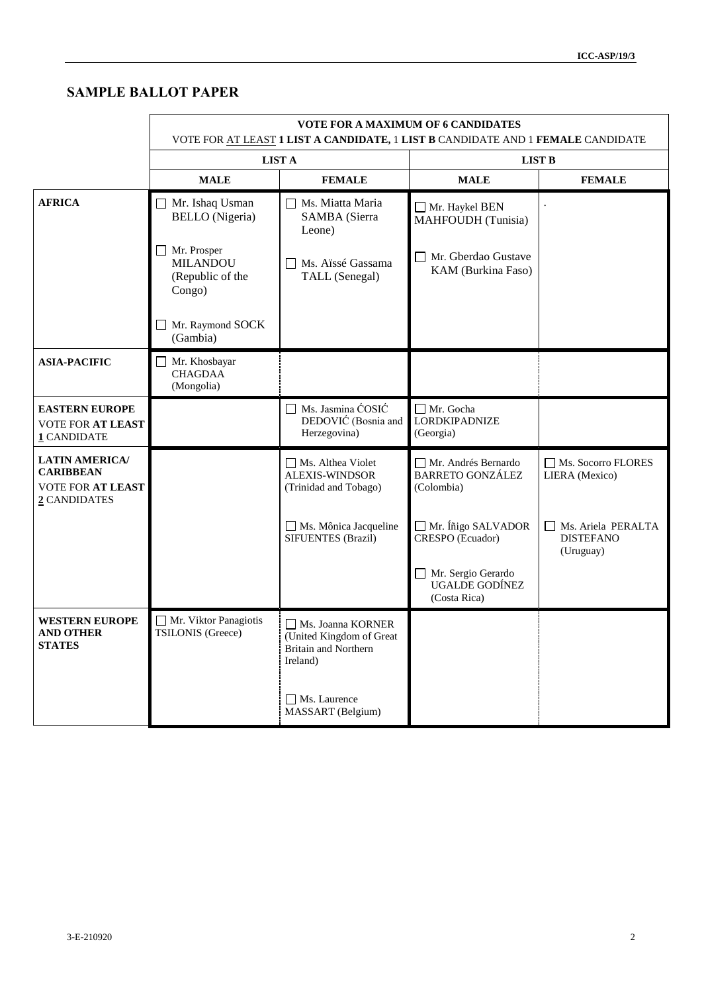# **SAMPLE BALLOT PAPER**

|                                                                                | <b>VOTE FOR A MAXIMUM OF 6 CANDIDATES</b><br>VOTE FOR AT LEAST 1 LIST A CANDIDATE, 1 LIST B CANDIDATE AND 1 FEMALE CANDIDATE |                                                                                          |                                                              |                                                     |
|--------------------------------------------------------------------------------|------------------------------------------------------------------------------------------------------------------------------|------------------------------------------------------------------------------------------|--------------------------------------------------------------|-----------------------------------------------------|
|                                                                                |                                                                                                                              | <b>LIST A</b>                                                                            | <b>LIST B</b>                                                |                                                     |
|                                                                                | <b>MALE</b>                                                                                                                  | <b>FEMALE</b>                                                                            | <b>MALE</b>                                                  | <b>FEMALE</b>                                       |
| <b>AFRICA</b>                                                                  | Mr. Ishaq Usman<br><b>BELLO</b> (Nigeria)                                                                                    | Ms. Miatta Maria<br>SAMBA (Sierra<br>Leone)                                              | Mr. Haykel BEN<br>MAHFOUDH (Tunisia)                         |                                                     |
|                                                                                | Mr. Prosper<br><b>MILANDOU</b><br>(Republic of the<br>Congo)                                                                 | Ms. Aïssé Gassama<br>TALL (Senegal)                                                      | Mr. Gberdao Gustave<br>KAM (Burkina Faso)                    |                                                     |
|                                                                                | Mr. Raymond SOCK<br>(Gambia)                                                                                                 |                                                                                          |                                                              |                                                     |
| <b>ASIA-PACIFIC</b>                                                            | Mr. Khosbayar<br><b>CHAGDAA</b><br>(Mongolia)                                                                                |                                                                                          |                                                              |                                                     |
| <b>EASTERN EUROPE</b><br>VOTE FOR AT LEAST<br>1 CANDIDATE                      |                                                                                                                              | Ms. Jasmina ĆOSIĆ<br>DEDOVIĆ (Bosnia and<br>Herzegovina)                                 | □ Mr. Gocha<br><b>LORDKIPADNIZE</b><br>(Georgia)             |                                                     |
| <b>LATIN AMERICA/</b><br><b>CARIBBEAN</b><br>VOTE FOR AT LEAST<br>2 CANDIDATES |                                                                                                                              | Ms. Althea Violet<br><b>ALEXIS-WINDSOR</b><br>(Trinidad and Tobago)                      | Mr. Andrés Bernardo<br><b>BARRETO GONZÁLEZ</b><br>(Colombia) | Ms. Socorro FLORES<br>LIERA (Mexico)                |
|                                                                                |                                                                                                                              | Ms. Mônica Jacqueline<br>SIFUENTES (Brazil)                                              | Mr. Íñigo SALVADOR<br>CRESPO (Ecuador)                       | Ms. Ariela PERALTA<br><b>DISTEFANO</b><br>(Uruguay) |
|                                                                                |                                                                                                                              |                                                                                          | Mr. Sergio Gerardo<br>UGALDE GODÍNEZ<br>(Costa Rica)         |                                                     |
| <b>WESTERN EUROPE</b><br><b>AND OTHER</b><br><b>STATES</b>                     | Mr. Viktor Panagiotis<br>TSILONIS (Greece)                                                                                   | Ms. Joanna KORNER<br>(United Kingdom of Great<br><b>Britain and Northern</b><br>Ireland) |                                                              |                                                     |
|                                                                                |                                                                                                                              | Ms. Laurence<br>MASSART (Belgium)                                                        |                                                              |                                                     |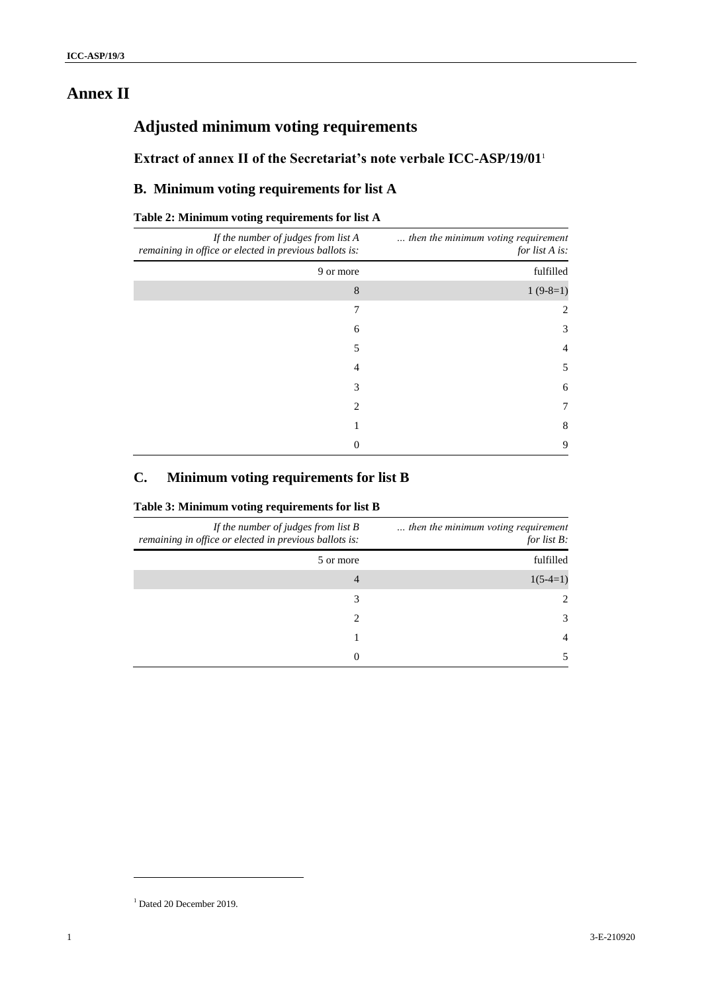# **Annex II**

# **Adjusted minimum voting requirements**

**Extract of annex II of the Secretariat's note verbale ICC-ASP/19/01**<sup>1</sup>

## **B. Minimum voting requirements for list A**

#### **Table 2: Minimum voting requirements for list A**

| then the minimum voting requirement<br>for list A is: | If the number of judges from list A<br>remaining in office or elected in previous ballots is: |
|-------------------------------------------------------|-----------------------------------------------------------------------------------------------|
| fulfilled                                             | 9 or more                                                                                     |
| $1(9-8=1)$                                            | 8                                                                                             |
|                                                       | 7                                                                                             |
| 3                                                     | 6                                                                                             |
| $\overline{4}$                                        | 5                                                                                             |
| 5                                                     | 4                                                                                             |
| 6                                                     | 3                                                                                             |
| 7                                                     | 2                                                                                             |
| 8                                                     |                                                                                               |
| 9                                                     | 0                                                                                             |

### **C. Minimum voting requirements for list B**

#### **Table 3: Minimum voting requirements for list B**

| then the minimum voting requirement<br>for list $B$ : | If the number of judges from list $B$<br>remaining in office or elected in previous ballots is: |
|-------------------------------------------------------|-------------------------------------------------------------------------------------------------|
| fulfilled                                             | 5 or more                                                                                       |
| $1(5-4=1)$                                            | 4                                                                                               |
| $2^{1}$                                               | 3                                                                                               |
| 3                                                     | 2                                                                                               |
| 4                                                     |                                                                                                 |
|                                                       | 0                                                                                               |

l

 $1$  Dated 20 December 2019.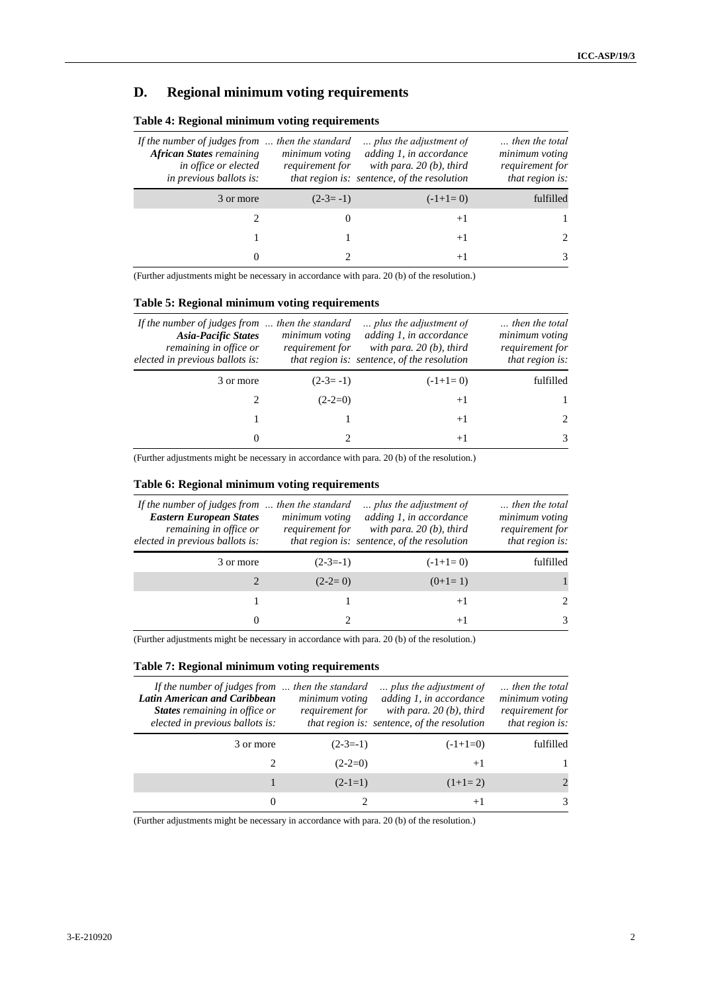# **D. Regional minimum voting requirements**

| then the total<br>minimum voting<br>requirement for<br>that region is: | plus the adjustment of<br>adding 1, in accordance<br>with para. $20(b)$ , third<br>that region is: sentence, of the resolution | minimum voting<br>requirement for | If the number of judges from $\ldots$ then the standard<br><b>African States</b> remaining<br>in office or elected<br><i>in previous ballots is:</i> |
|------------------------------------------------------------------------|--------------------------------------------------------------------------------------------------------------------------------|-----------------------------------|------------------------------------------------------------------------------------------------------------------------------------------------------|
| fulfilled                                                              | $(-1+1=0)$                                                                                                                     | $(2-3=-1)$                        | 3 or more                                                                                                                                            |
|                                                                        | $+1$                                                                                                                           |                                   |                                                                                                                                                      |
|                                                                        | $+1$                                                                                                                           |                                   |                                                                                                                                                      |
| 3                                                                      | $+1$                                                                                                                           |                                   |                                                                                                                                                      |

#### **Table 4: Regional minimum voting requirements**

(Further adjustments might be necessary in accordance with para. 20 (b) of the resolution.)

#### **Table 5: Regional minimum voting requirements**

| If the number of judges from  then the standard<br><b>Asia-Pacific States</b><br>remaining in office or<br>elected in previous ballots is: | minimum voting<br>requirement for | plus the adjustment of<br>adding 1, in accordance<br>with para. $20(b)$ , third<br>that region is: sentence, of the resolution | then the total<br>minimum voting<br>requirement for<br>that region is: |
|--------------------------------------------------------------------------------------------------------------------------------------------|-----------------------------------|--------------------------------------------------------------------------------------------------------------------------------|------------------------------------------------------------------------|
| 3 or more                                                                                                                                  | $(2-3=-1)$                        | $(-1+1=0)$                                                                                                                     | fulfilled                                                              |
|                                                                                                                                            | $(2-2=0)$                         | $+1$                                                                                                                           |                                                                        |
|                                                                                                                                            |                                   | $+1$                                                                                                                           | $2^{1}$                                                                |
| 0                                                                                                                                          |                                   | $+1$                                                                                                                           | 3                                                                      |

(Further adjustments might be necessary in accordance with para. 20 (b) of the resolution.)

#### **Table 6: Regional minimum voting requirements**

| then the total<br>minimum voting<br>requirement for<br>that region is: | plus the adjustment of<br>adding 1, in accordance<br>with para. $20(b)$ , third<br>that region is: sentence, of the resolution | minimum voting<br>requirement for | If the number of judges from $\ldots$ then the standard<br><b>Eastern European States</b><br>remaining in office or<br>elected in previous ballots is: |
|------------------------------------------------------------------------|--------------------------------------------------------------------------------------------------------------------------------|-----------------------------------|--------------------------------------------------------------------------------------------------------------------------------------------------------|
| fulfilled                                                              | $(-1+1=0)$                                                                                                                     | $(2-3=-1)$                        | 3 or more                                                                                                                                              |
|                                                                        | $(0+1=1)$                                                                                                                      | $(2-2=0)$                         |                                                                                                                                                        |
| $\mathfrak{D}$                                                         | $+1$                                                                                                                           |                                   |                                                                                                                                                        |
| 3                                                                      | $+1$                                                                                                                           |                                   | $\theta$                                                                                                                                               |

(Further adjustments might be necessary in accordance with para. 20 (b) of the resolution.)

#### **Table 7: Regional minimum voting requirements**

| If the number of judges from  then the standard<br><b>Latin American and Caribbean</b><br>States remaining in office or<br>elected in previous ballots is: | minimum voting<br>requirement for | plus the adjustment of<br>adding 1, in accordance<br>with para. $20(b)$ , third<br>that region is: sentence, of the resolution | then the total<br>minimum voting<br>requirement for<br>that region is: |
|------------------------------------------------------------------------------------------------------------------------------------------------------------|-----------------------------------|--------------------------------------------------------------------------------------------------------------------------------|------------------------------------------------------------------------|
| 3 or more                                                                                                                                                  | $(2-3=-1)$                        | $(-1+1=0)$                                                                                                                     | fulfilled                                                              |
|                                                                                                                                                            | $(2-2=0)$                         | $+1$                                                                                                                           |                                                                        |
|                                                                                                                                                            | $(2-1=1)$                         | $(1+1=2)$                                                                                                                      |                                                                        |
|                                                                                                                                                            |                                   | $+1$                                                                                                                           | 3                                                                      |

(Further adjustments might be necessary in accordance with para. 20 (b) of the resolution.)